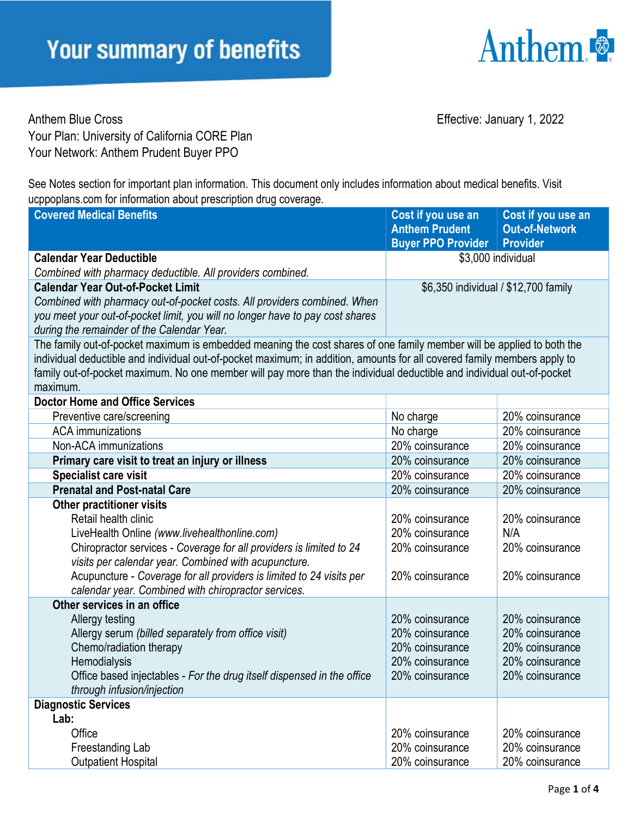

Anthem Blue Cross **Anthem Blue Cross Effective:** January 1, 2022 Your Plan: University of California CORE Plan Your Network: Anthem Prudent Buyer PPO

See Notes section for important plan information. This document only includes information about medical benefits. Visit ucppoplans.com for information about prescription drug coverage.

| <b>Covered Medical Benefits</b>                                                                                              | Cost if you use an<br><b>Anthem Prudent</b> | Cost if you use an<br><b>Out-of-Network</b> |  |  |
|------------------------------------------------------------------------------------------------------------------------------|---------------------------------------------|---------------------------------------------|--|--|
|                                                                                                                              | <b>Buyer PPO Provider</b>                   | Provider                                    |  |  |
| <b>Calendar Year Deductible</b>                                                                                              | \$3,000 individual                          |                                             |  |  |
| Combined with pharmacy deductible. All providers combined.                                                                   |                                             |                                             |  |  |
| <b>Calendar Year Out-of-Pocket Limit</b>                                                                                     | \$6,350 individual / \$12,700 family        |                                             |  |  |
| Combined with pharmacy out-of-pocket costs. All providers combined. When                                                     |                                             |                                             |  |  |
| you meet your out-of-pocket limit, you will no longer have to pay cost shares                                                |                                             |                                             |  |  |
| during the remainder of the Calendar Year.                                                                                   |                                             |                                             |  |  |
| The family out-of-pocket maximum is embedded meaning the cost shares of one family member will be applied to both the        |                                             |                                             |  |  |
| individual deductible and individual out-of-pocket maximum; in addition, amounts for all covered family members apply to     |                                             |                                             |  |  |
| family out-of-pocket maximum. No one member will pay more than the individual deductible and individual out-of-pocket        |                                             |                                             |  |  |
| maximum.                                                                                                                     |                                             |                                             |  |  |
| <b>Doctor Home and Office Services</b>                                                                                       |                                             |                                             |  |  |
| Preventive care/screening                                                                                                    | No charge                                   | 20% coinsurance                             |  |  |
| <b>ACA</b> immunizations                                                                                                     | No charge                                   | 20% coinsurance                             |  |  |
| Non-ACA immunizations                                                                                                        | 20% coinsurance                             | 20% coinsurance                             |  |  |
| Primary care visit to treat an injury or illness                                                                             | 20% coinsurance                             | 20% coinsurance                             |  |  |
| Specialist care visit                                                                                                        | 20% coinsurance                             | 20% coinsurance                             |  |  |
| <b>Prenatal and Post-natal Care</b>                                                                                          | 20% coinsurance                             | 20% coinsurance                             |  |  |
| <b>Other practitioner visits</b>                                                                                             |                                             |                                             |  |  |
| Retail health clinic                                                                                                         | 20% coinsurance                             | 20% coinsurance                             |  |  |
| LiveHealth Online (www.livehealthonline.com)                                                                                 | 20% coinsurance                             | N/A                                         |  |  |
| Chiropractor services - Coverage for all providers is limited to 24                                                          | 20% coinsurance                             | 20% coinsurance                             |  |  |
| visits per calendar year. Combined with acupuncture.<br>Acupuncture - Coverage for all providers is limited to 24 visits per | 20% coinsurance                             | 20% coinsurance                             |  |  |
| calendar year. Combined with chiropractor services.                                                                          |                                             |                                             |  |  |
| Other services in an office                                                                                                  |                                             |                                             |  |  |
| Allergy testing                                                                                                              | 20% coinsurance                             | 20% coinsurance                             |  |  |
| Allergy serum (billed separately from office visit)                                                                          | 20% coinsurance                             | 20% coinsurance                             |  |  |
| Chemo/radiation therapy                                                                                                      | 20% coinsurance                             | 20% coinsurance                             |  |  |
| Hemodialysis                                                                                                                 | 20% coinsurance                             | 20% coinsurance                             |  |  |
| Office based injectables - For the drug itself dispensed in the office                                                       | 20% coinsurance                             | 20% coinsurance                             |  |  |
| through infusion/injection                                                                                                   |                                             |                                             |  |  |
| <b>Diagnostic Services</b>                                                                                                   |                                             |                                             |  |  |
| Lab:                                                                                                                         |                                             |                                             |  |  |
| Office                                                                                                                       | 20% coinsurance                             | 20% coinsurance                             |  |  |
| Freestanding Lab                                                                                                             | 20% coinsurance                             | 20% coinsurance                             |  |  |
| <b>Outpatient Hospital</b>                                                                                                   | 20% coinsurance                             | 20% coinsurance                             |  |  |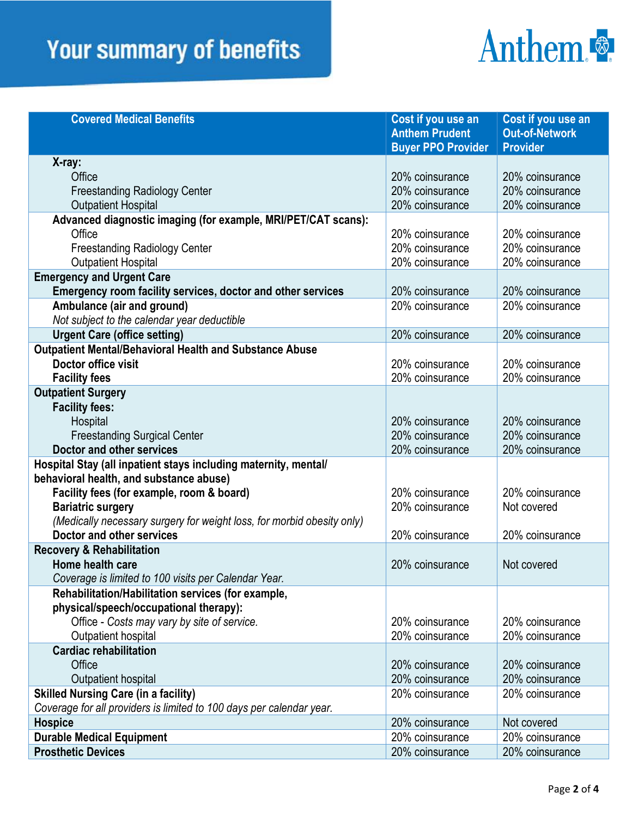### **Your summary of benefits**

# Anthem.

| <b>Covered Medical Benefits</b>                                        | Cost if you use an        | Cost if you use an    |
|------------------------------------------------------------------------|---------------------------|-----------------------|
|                                                                        | <b>Anthem Prudent</b>     | <b>Out-of-Network</b> |
|                                                                        | <b>Buyer PPO Provider</b> | <b>Provider</b>       |
| X-ray:                                                                 |                           |                       |
| Office                                                                 | 20% coinsurance           | 20% coinsurance       |
| <b>Freestanding Radiology Center</b>                                   | 20% coinsurance           | 20% coinsurance       |
| <b>Outpatient Hospital</b>                                             | 20% coinsurance           | 20% coinsurance       |
| Advanced diagnostic imaging (for example, MRI/PET/CAT scans):          |                           |                       |
| Office                                                                 | 20% coinsurance           | 20% coinsurance       |
| <b>Freestanding Radiology Center</b>                                   | 20% coinsurance           | 20% coinsurance       |
| <b>Outpatient Hospital</b>                                             | 20% coinsurance           | 20% coinsurance       |
| <b>Emergency and Urgent Care</b>                                       |                           |                       |
| Emergency room facility services, doctor and other services            | 20% coinsurance           | 20% coinsurance       |
| Ambulance (air and ground)                                             | 20% coinsurance           | 20% coinsurance       |
| Not subject to the calendar year deductible                            |                           |                       |
| <b>Urgent Care (office setting)</b>                                    | 20% coinsurance           | 20% coinsurance       |
| <b>Outpatient Mental/Behavioral Health and Substance Abuse</b>         |                           |                       |
| Doctor office visit                                                    | 20% coinsurance           | 20% coinsurance       |
| <b>Facility fees</b>                                                   | 20% coinsurance           | 20% coinsurance       |
| <b>Outpatient Surgery</b>                                              |                           |                       |
| <b>Facility fees:</b>                                                  |                           |                       |
| Hospital                                                               | 20% coinsurance           | 20% coinsurance       |
| <b>Freestanding Surgical Center</b>                                    | 20% coinsurance           | 20% coinsurance       |
| Doctor and other services                                              | 20% coinsurance           | 20% coinsurance       |
| Hospital Stay (all inpatient stays including maternity, mental/        |                           |                       |
| behavioral health, and substance abuse)                                |                           |                       |
| Facility fees (for example, room & board)                              | 20% coinsurance           | 20% coinsurance       |
| <b>Bariatric surgery</b>                                               | 20% coinsurance           | Not covered           |
| (Medically necessary surgery for weight loss, for morbid obesity only) |                           |                       |
| Doctor and other services                                              | 20% coinsurance           | 20% coinsurance       |
| <b>Recovery &amp; Rehabilitation</b>                                   |                           |                       |
| Home health care                                                       | 20% coinsurance           | Not covered           |
| Coverage is limited to 100 visits per Calendar Year.                   |                           |                       |
| Rehabilitation/Habilitation services (for example,                     |                           |                       |
| physical/speech/occupational therapy):                                 |                           |                       |
| Office - Costs may vary by site of service.                            | 20% coinsurance           | 20% coinsurance       |
| Outpatient hospital                                                    | 20% coinsurance           | 20% coinsurance       |
| <b>Cardiac rehabilitation</b>                                          |                           |                       |
| Office                                                                 | 20% coinsurance           | 20% coinsurance       |
| Outpatient hospital                                                    | 20% coinsurance           | 20% coinsurance       |
| <b>Skilled Nursing Care (in a facility)</b>                            | 20% coinsurance           | 20% coinsurance       |
| Coverage for all providers is limited to 100 days per calendar year.   |                           |                       |
| <b>Hospice</b>                                                         | 20% coinsurance           | Not covered           |
| <b>Durable Medical Equipment</b>                                       | 20% coinsurance           | 20% coinsurance       |
| <b>Prosthetic Devices</b>                                              | 20% coinsurance           | 20% coinsurance       |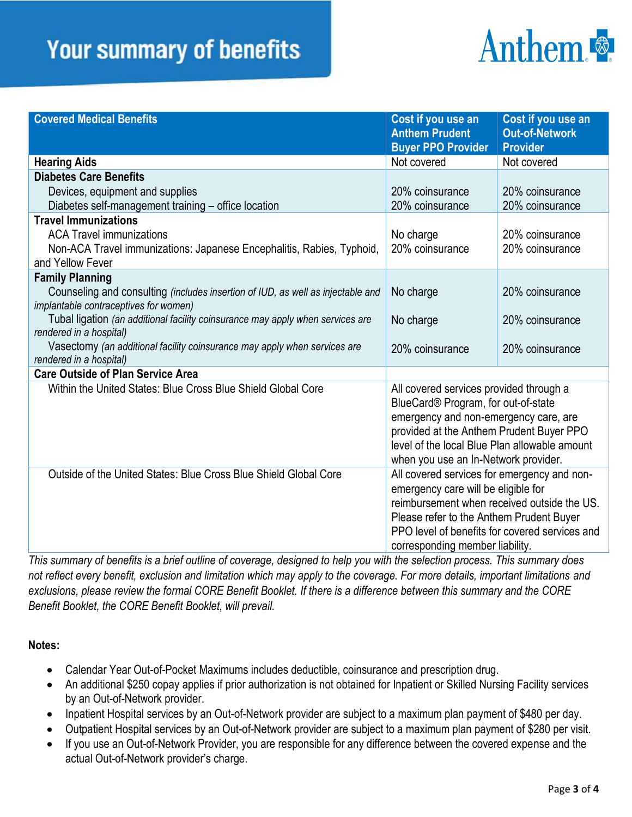### **Your summary of benefits**

# Anthem

| <b>Covered Medical Benefits</b>                                                                      | Cost if you use an<br><b>Anthem Prudent</b>                                        | Cost if you use an<br><b>Out-of-Network</b> |
|------------------------------------------------------------------------------------------------------|------------------------------------------------------------------------------------|---------------------------------------------|
|                                                                                                      | <b>Buyer PPO Provider</b>                                                          | <b>Provider</b>                             |
| <b>Hearing Aids</b>                                                                                  | Not covered                                                                        | Not covered                                 |
| <b>Diabetes Care Benefits</b>                                                                        |                                                                                    |                                             |
| Devices, equipment and supplies                                                                      | 20% coinsurance                                                                    | 20% coinsurance                             |
| Diabetes self-management training - office location                                                  | 20% coinsurance                                                                    | 20% coinsurance                             |
| <b>Travel Immunizations</b>                                                                          |                                                                                    |                                             |
| <b>ACA Travel immunizations</b>                                                                      | No charge                                                                          | 20% coinsurance                             |
| Non-ACA Travel immunizations: Japanese Encephalitis, Rabies, Typhoid,                                | 20% coinsurance                                                                    | 20% coinsurance                             |
| and Yellow Fever                                                                                     |                                                                                    |                                             |
| <b>Family Planning</b>                                                                               |                                                                                    |                                             |
| Counseling and consulting (includes insertion of IUD, as well as injectable and                      | No charge                                                                          | 20% coinsurance                             |
| implantable contraceptives for women)                                                                |                                                                                    |                                             |
| Tubal ligation (an additional facility coinsurance may apply when services are                       | No charge                                                                          | 20% coinsurance                             |
| rendered in a hospital)                                                                              |                                                                                    |                                             |
| Vasectomy (an additional facility coinsurance may apply when services are<br>rendered in a hospital) | 20% coinsurance                                                                    | 20% coinsurance                             |
| <b>Care Outside of Plan Service Area</b>                                                             |                                                                                    |                                             |
| Within the United States: Blue Cross Blue Shield Global Core                                         |                                                                                    |                                             |
|                                                                                                      | All covered services provided through a<br>BlueCard® Program, for out-of-state     |                                             |
|                                                                                                      | emergency and non-emergency care, are                                              |                                             |
|                                                                                                      | provided at the Anthem Prudent Buyer PPO                                           |                                             |
|                                                                                                      | level of the local Blue Plan allowable amount                                      |                                             |
|                                                                                                      | when you use an In-Network provider.                                               |                                             |
| Outside of the United States: Blue Cross Blue Shield Global Core                                     | All covered services for emergency and non-<br>emergency care will be eligible for |                                             |
|                                                                                                      |                                                                                    |                                             |
|                                                                                                      | reimbursement when received outside the US.                                        |                                             |
|                                                                                                      | Please refer to the Anthem Prudent Buyer                                           |                                             |
|                                                                                                      | PPO level of benefits for covered services and                                     |                                             |
|                                                                                                      | corresponding member liability.                                                    |                                             |

*This summary of benefits is a brief outline of coverage, designed to help you with the selection process. This summary does not reflect every benefit, exclusion and limitation which may apply to the coverage. For more details, important limitations and exclusions, please review the formal CORE Benefit Booklet. If there is a difference between this summary and the CORE Benefit Booklet, the CORE Benefit Booklet, will prevail.*

#### **Notes:**

- Calendar Year Out-of-Pocket Maximums includes deductible, coinsurance and prescription drug.
- An additional \$250 copay applies if prior authorization is not obtained for Inpatient or Skilled Nursing Facility services by an Out-of-Network provider.
- Inpatient Hospital services by an Out-of-Network provider are subject to a maximum plan payment of \$480 per day.
- Outpatient Hospital services by an Out-of-Network provider are subject to a maximum plan payment of \$280 per visit.
- If you use an Out-of-Network Provider, you are responsible for any difference between the covered expense and the actual Out-of-Network provider's charge.